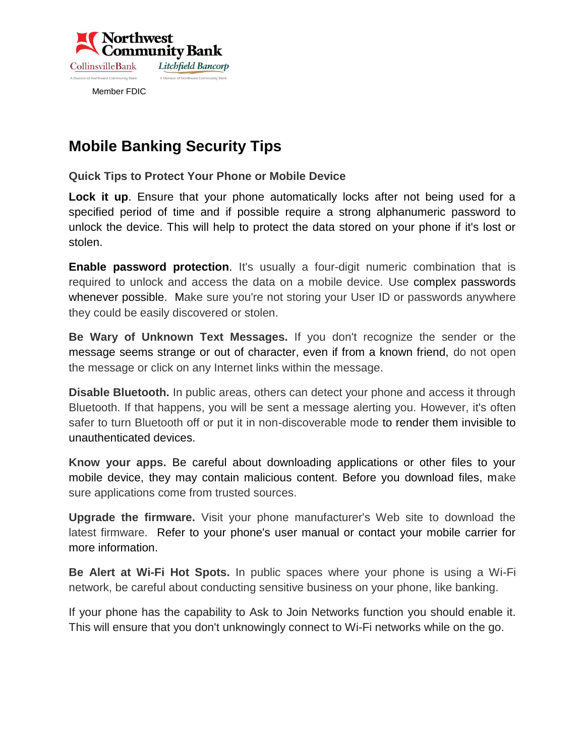

## **Mobile Banking Security Tips**

**Quick Tips to Protect Your Phone or Mobile Device** 

**[Lock it up](https://www.key.com/html/mobile-security-tips.html)**. Ensure that your phone automatically locks after not being used for a specified period of time and if possible require a strong alphanumeric password to unlock the device. This will help to protect the data stored on your phone if it's lost or stolen.

**Enable password protection**. It's usually a four-digit numeric combination that is required to unlock and access the data on a mobile device. Use complex passwords whenever possible. Make sure you're not storing your User ID or passwords anywhere they could be easily discovered or stolen.

**Be Wary of Unknown Text Messages.** If you don't recognize the sender or the message seems strange or out of character, even if from a known friend, do not open the message or click on any Internet links within the message.

**Disable Bluetooth.** In public areas, others can detect your phone and access it through Bluetooth. If that happens, you will be sent a message alerting you. However, it's often safer to turn Bluetooth off or put it in non-discoverable mode to render them invisible to unauthenticated devices.

**Know your apps.** Be careful about downloading applications or other files to your mobile device, they may contain malicious content. Before you download files, make sure applications come from trusted sources.

**Upgrade the firmware.** Visit your phone manufacturer's Web site to download the latest firmware. Refer to your phone's user manual or contact your mobile carrier for more information.

**Be Alert at Wi-Fi Hot Spots.** In public spaces where your phone is using a Wi-Fi network, be careful about conducting sensitive business on your phone, like banking.

If your phone has the capability to Ask to Join Networks function you should enable it. This will ensure that you don't unknowingly connect to Wi-Fi networks while on the go.